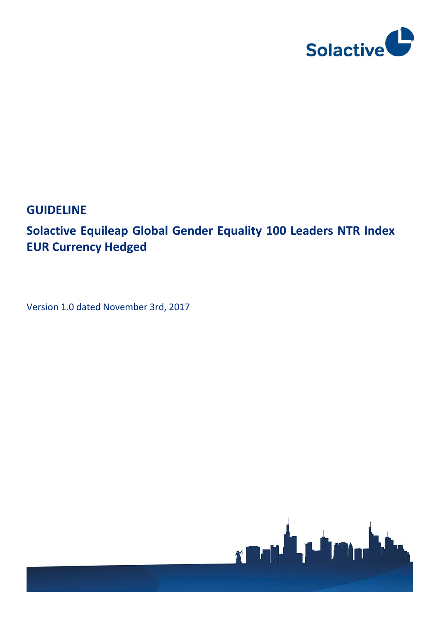

# **GUIDELINE**

# **[Solactive Equileap Global Gender Equality 100 Leaders NTR Index](http://portal.svc.solactive.com/web/index/9115)  EUR [Currency Hedged](http://portal.svc.solactive.com/web/index/9115)**

Version 1.0 dated November 3rd, 2017

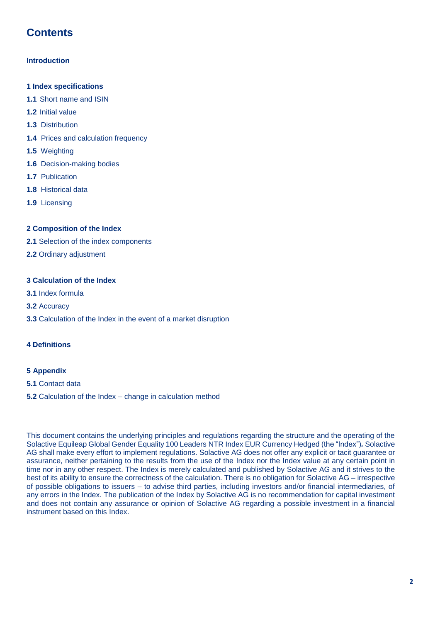# **Contents**

#### **Introduction**

- **1 Index specifications**
- **1.1** Short name and ISIN
- **1.2** Initial value
- **1.3** Distribution
- **1.4** Prices and calculation frequency
- **1.5** Weighting
- **1.6** Decision-making bodies
- **1.7** Publication
- **1.8** Historical data
- **1.9** Licensing

#### **2 Composition of the Index**

- **2.1** Selection of the index components
- **2.2** Ordinary adjustment

#### **3 Calculation of the Index**

- **3.1** Index formula
- **3.2** Accuracy
- **3.3** Calculation of the Index in the event of a market disruption

#### **4 Definitions**

#### **5 Appendix**

- **5.1** Contact data
- **5.2** Calculation of the Index change in calculation method

This document contains the underlying principles and regulations regarding the structure and the operating of the Solactive Equileap Global Gender Equality 100 Leaders NTR Index EUR Currency Hedged (the "Index")*.* Solactive AG shall make every effort to implement regulations. Solactive AG does not offer any explicit or tacit guarantee or assurance, neither pertaining to the results from the use of the Index nor the Index value at any certain point in time nor in any other respect. The Index is merely calculated and published by Solactive AG and it strives to the best of its ability to ensure the correctness of the calculation. There is no obligation for Solactive AG – irrespective of possible obligations to issuers – to advise third parties, including investors and/or financial intermediaries, of any errors in the Index. The publication of the Index by Solactive AG is no recommendation for capital investment and does not contain any assurance or opinion of Solactive AG regarding a possible investment in a financial instrument based on this Index.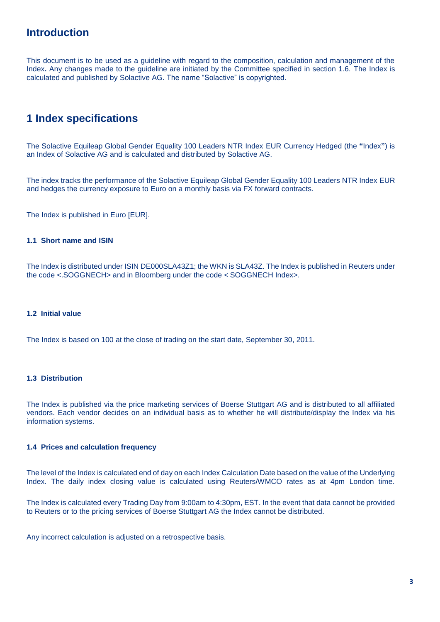### **Introduction**

This document is to be used as a guideline with regard to the composition, calculation and management of the Index**.** Any changes made to the guideline are initiated by the Committee specified in section 1.6. The Index is calculated and published by Solactive AG. The name "Solactive" is copyrighted.

### **1 Index specifications**

The Solactive Equileap Global Gender Equality 100 Leaders NTR Index EUR Currency Hedged (the **"**Index**"**) is an Index of Solactive AG and is calculated and distributed by Solactive AG.

The index tracks the performance of the Solactive Equileap Global Gender Equality 100 Leaders NTR Index EUR and hedges the currency exposure to Euro on a monthly basis via FX forward contracts.

The Index is published in Euro [EUR].

#### **1.1 Short name and ISIN**

The Index is distributed under ISIN DE000SLA43Z1; the WKN is SLA43Z. The Index is published in Reuters under the code <.SOGGNECH> and in Bloomberg under the code < SOGGNECH Index>.

#### **1.2 Initial value**

The Index is based on 100 at the close of trading on the start date, September 30, 2011.

#### **1.3 Distribution**

The Index is published via the price marketing services of Boerse Stuttgart AG and is distributed to all affiliated vendors. Each vendor decides on an individual basis as to whether he will distribute/display the Index via his information systems.

#### **1.4 Prices and calculation frequency**

The level of the Index is calculated end of day on each Index Calculation Date based on the value of the Underlying Index. The daily index closing value is calculated using Reuters/WMCO rates as at 4pm London time.

The Index is calculated every Trading Day from 9:00am to 4:30pm, EST. In the event that data cannot be provided to Reuters or to the pricing services of Boerse Stuttgart AG the Index cannot be distributed.

Any incorrect calculation is adjusted on a retrospective basis.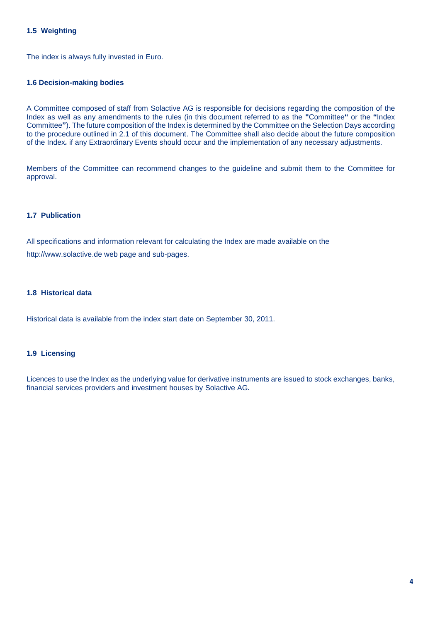#### **1.5 Weighting**

The index is always fully invested in Euro.

#### **1.6 Decision-making bodies**

A Committee composed of staff from Solactive AG is responsible for decisions regarding the composition of the Index as well as any amendments to the rules (in this document referred to as the **"**Committee**"** or the **"**Index Committee**"**). The future composition of the Index is determined by the Committee on the Selection Days according to the procedure outlined in 2.1 of this document. The Committee shall also decide about the future composition of the Index*.* if any Extraordinary Events should occur and the implementation of any necessary adjustments.

Members of the Committee can recommend changes to the guideline and submit them to the Committee for approval.

#### **1.7 Publication**

All specifications and information relevant for calculating the Index are made available on the http://www.solactive.de web page and sub-pages.

#### **1.8 Historical data**

Historical data is available from the index start date on September 30, 2011.

#### **1.9 Licensing**

Licences to use the Index as the underlying value for derivative instruments are issued to stock exchanges, banks, financial services providers and investment houses by Solactive AG*.*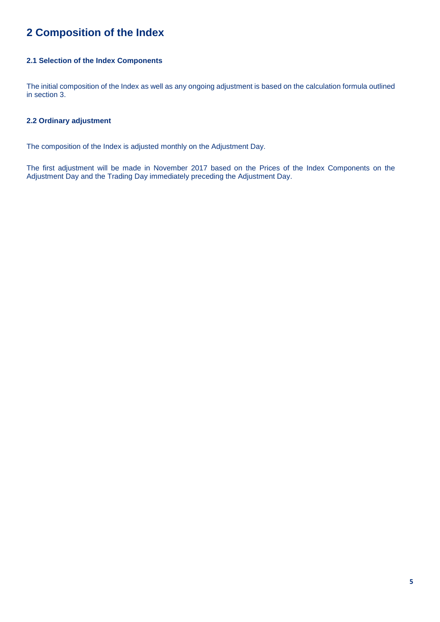# **2 Composition of the Index**

#### **2.1 Selection of the Index Components**

The initial composition of the Index as well as any ongoing adjustment is based on the calculation formula outlined in section 3.

#### **2.2 Ordinary adjustment**

The composition of the Index is adjusted monthly on the Adjustment Day.

The first adjustment will be made in November 2017 based on the Prices of the Index Components on the Adjustment Day and the Trading Day immediately preceding the Adjustment Day.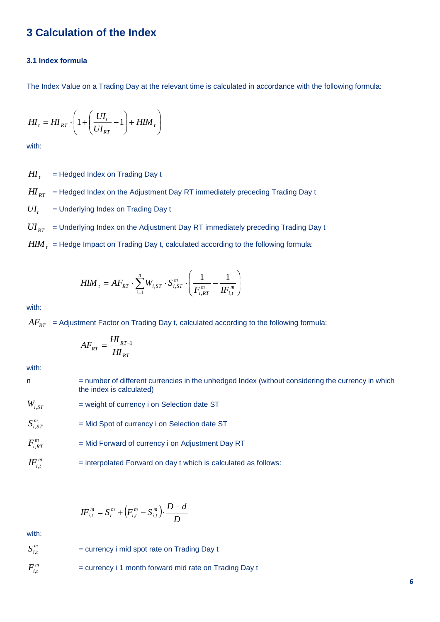### **3 Calculation of the Index**

#### **3.1 Index formula**

The Index Value on a Trading Day at the relevant time is calculated in accordance with the following formula:

$$
H I_t = H I_{RT} \cdot \left( 1 + \left( \frac{U I_t}{U I_{RT}} - 1 \right) + H I M_t \right)
$$

with:

*HI<sup>t</sup>* = Hedged Index on Trading Day t

 $H\!I_{RT}$   $\,$  = Hedged Index on the Adjustment Day RT immediately preceding Trading Day t

 $UI<sub>t</sub>$ = Underlying Index on Trading Day t

 $UI_{\scriptscriptstyle RT}$   $\;$  = Underlying Index on the Adjustment Day RT immediately preceding Trading Day t

 $\mathit{HIM}_t^-$  = Hedge Impact on Trading Day t, calculated according to the following formula:

$$
HIM_{t} = AF_{RT} \cdot \sum_{i=1}^{n} W_{i,ST} \cdot S_{i,ST}^{m} \cdot \left(\frac{1}{F_{i,RT}^{m}} - \frac{1}{IF_{i,t}^{m}}\right)
$$

with:

 $AF_{_{RT}}\;$  = Adjustment Factor on Trading Day t, calculated according to the following formula:

$$
AF_{RT} = \frac{H I_{RT-1}}{H I_{RT}}
$$

with:

n = number of different currencies in the unhedged Index (without considering the currency in which the index is calculated)

*<sup>W</sup><sup>i</sup>*,*ST* = weight of currency i on Selection date ST

- $S^{m}_{i,ST}$ = Mid Spot of currency i on Selection date ST
- $F_{i,RT}^m$ = Mid Forward of currency i on Adjustment Day RT
- $IF^m_{i,t}$ = interpolated Forward on day t which is calculated as follows:

$$
IF_{i,t}^{m} = S_{t}^{m} + (F_{i,t}^{m} - S_{i,t}^{m}).\frac{D - d}{D}
$$

with:

- $S^{\,m}_{i,t}$ = currency i mid spot rate on Trading Day t  $F_{i,t}^m$ 
	- = currency i 1 month forward mid rate on Trading Day t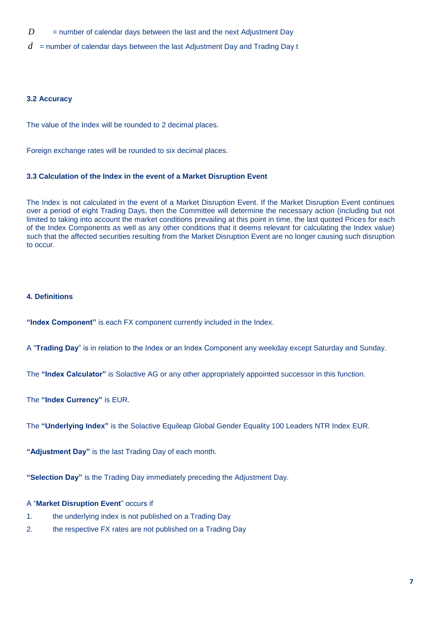- $D =$  number of calendar days between the last and the next Adjustment Day
- *d* = number of calendar days between the last Adjustment Day and Trading Day t

#### **3.2 Accuracy**

The value of the Index will be rounded to 2 decimal places.

Foreign exchange rates will be rounded to six decimal places.

#### **3.3 Calculation of the Index in the event of a Market Disruption Event**

The Index is not calculated in the event of a Market Disruption Event. If the Market Disruption Event continues over a period of eight Trading Days, then the Committee will determine the necessary action (including but not limited to taking into account the market conditions prevailing at this point in time, the last quoted Prices for each of the Index Components as well as any other conditions that it deems relevant for calculating the Index value) such that the affected securities resulting from the Market Disruption Event are no longer causing such disruption to occur.

#### **4. Definitions**

**"Index Component"** is each FX component currently included in the Index.

A "**Trading Day**" is in relation to the Index or an Index Component any weekday except Saturday and Sunday.

The **"Index Calculator"** is Solactive AG or any other appropriately appointed successor in this function.

The **"Index Currency"** is EUR.

The **"Underlying Index"** is the Solactive Equileap Global Gender Equality 100 Leaders NTR Index EUR.

**"Adjustment Day"** is the last Trading Day of each month.

**"Selection Day"** is the Trading Day immediately preceding the Adjustment Day.

#### A "**Market Disruption Event**" occurs if

- 1. the underlying index is not published on a Trading Day
- 2. the respective FX rates are not published on a Trading Day